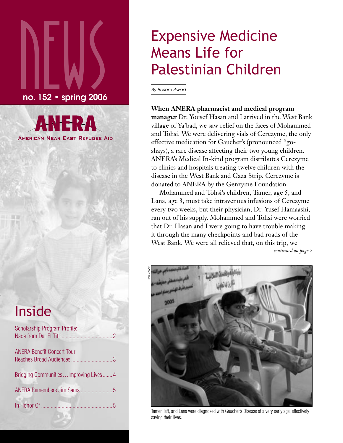# $\sum_{\sf no.152\cdot spring\,2006}$ no. 152 • spring 2006

**AMERICAN NEAR EAST REFUGEE AID** 

## Inside

| <b>Scholarship Program Profile:</b>  |  |
|--------------------------------------|--|
| <b>ANERA Benefit Concert Tour</b>    |  |
| Bridging CommunitiesImproving Lives4 |  |
|                                      |  |
|                                      |  |
|                                      |  |

## Expensive Medicine Means Life for Palestinian Children

By Basem Awad

#### **When ANERA pharmacist and medical program**

**manager** Dr. Yousef Hasan and I arrived in the West Bank village of Ya'bad, we saw relief on the faces of Mohammed and Tohsi. We were delivering vials of Cerezyme, the only effective medication for Gaucher's (pronounced "goshays), a rare disease affecting their two young children. ANERA's Medical In-kind program distributes Cerezyme to clinics and hospitals treating twelve children with the disease in the West Bank and Gaza Strip. Cerezyme is donated to ANERA by the Genzyme Foundation.

Mohammed and Tohsi's children, Tamer, age 5, and Lana, age 3, must take intravenous infusions of Cerezyme every two weeks, but their physician, Dr. Yusef Hamaashi, ran out of his supply. Mohammed and Tohsi were worried that Dr. Hasan and I were going to have trouble making it through the many checkpoints and bad roads of the West Bank. We were all relieved that, on this trip, we *continued on page 2*



Tamer, left, and Lana were diagnosed with Gaucher's Disease at a very early age, effectively saving their lives.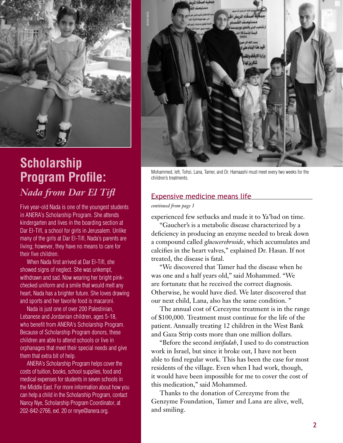

### **Scholarship Program Profile:**  *Nada from Dar El Tifl*

Five year-old Nada is one of the youngest students in ANERA's Scholarship Program. She attends kindergarten and lives in the boarding section at Dar El-Tifl, a school for girls in Jerusalem. Unlike many of the girls at Dar El-Tifl, Nada's parents are living; however, they have no means to care for their five children.

When Nada first arrived at Dar El-Tifl, she showed signs of neglect. She was unkempt, withdrawn and sad. Now wearing her bright pinkchecked uniform and a smile that would melt any heart, Nada has a brighter future. She loves drawing and sports and her favorite food is macaroni.

Nada is just one of over 200 Palestinian, Lebanese and Jordanian children, ages 5-18, who benefit from ANERA's Scholarship Program. Because of Scholarship Program donors, these children are able to attend schools or live in orphanages that meet their special needs and give them that extra bit of help.

ANERA's Scholarship Program helps cover the costs of tuition, books, school supplies, food and medical expenses for students in seven schools in the Middle East. For more information about how you can help a child in the Scholarship Program, contact Nancy Nye, Scholarship Program Coordinator, at 202-842-2766, ext. 20 or nnye@anera.org.



Mohammed, left, Tohsi, Lana, Tamer, and Dr. Hamaashi must meet every two weeks for the children's treatments.

#### Expensive medicine means life

*continued from page 1* 

experienced few setbacks and made it to Ya'bad on time.

"Gaucher's is a metabolic disease characterized by a deficiency in producing an enzyme needed to break down a compound called *glucocerebroside*, which accumulates and calcifies in the heart valves," explained Dr. Hasan. If not treated, the disease is fatal.

"We discovered that Tamer had the disease when he was one and a half years old," said Mohammed. "We are fortunate that he received the correct diagnosis. Otherwise, he would have died. We later discovered that our next child, Lana, also has the same condition. "

The annual cost of Cerezyme treatment is in the range of \$100,000. Treatment must continue for the life of the patient. Annually treating 12 children in the West Bank and Gaza Strip costs more than one million dollars.

"Before the second *intifadah*, I used to do construction work in Israel, but since it broke out, I have not been able to find regular work. This has been the case for most residents of the village. Even when I had work, though, it would have been impossible for me to cover the cost of this medication," said Mohammed.

Thanks to the donation of Cerezyme from the Genzyme Foundation, Tamer and Lana are alive, well, and smiling.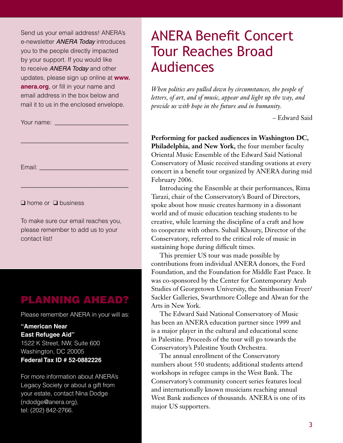Send us your email address! ANERA's e-newsletter **ANERA Today** introduces you to the people directly impacted by your support. If you would like to receive **ANERA Today** and other updates, please sign up online at **www. anera.org**, or fill in your name and email address in the box below and mail it to us in the enclosed envelope.

\_\_\_\_\_\_\_\_\_\_\_\_\_\_\_\_\_\_\_\_\_\_\_\_\_\_\_\_\_\_\_\_\_\_\_

\_\_\_\_\_\_\_\_\_\_\_\_\_\_\_\_\_\_\_\_\_\_\_\_\_\_\_\_\_\_\_\_\_\_\_

Your name: \_\_\_\_\_\_\_\_\_\_\_\_\_\_\_\_\_\_\_\_\_\_\_\_

Email: \_\_\_\_\_\_\_\_\_\_\_\_\_\_\_\_\_\_\_\_\_\_\_\_\_\_\_\_\_

❑ home or ❑ business

To make sure our email reaches you, please remember to add us to your contact list!

#### PLANNING AHEAD?

Please remember ANERA in your will as:

**"American Near East Refugee Aid"** 1522 K Street, NW, Suite 600 Washington, DC 20005 **Federal Tax ID # 52-0882226**

For more information about ANERA's Legacy Society or about a gift from your estate, contact Nina Dodge (ndodge@anera.org), tel: (202) 842-2766.

## ANERA Benefit Concert Tour Reaches Broad Audiences

*When politics are pulled down by circumstances, the people of letters, of art, and of music, appear and light up the way, and provide us with hope in the future and in humanity.*

– Edward Said

**Performing for packed audiences in Washington DC, Philadelphia, and New York,** the four member faculty Oriental Music Ensemble of the Edward Said National Conservatory of Music received standing ovations at every concert in a benefit tour organized by ANERA during mid February 2006.

Introducing the Ensemble at their performances, Rima Tarazi, chair of the Conservatory's Board of Directors, spoke about how music creates harmony in a dissonant world and of music education teaching students to be creative, while learning the discipline of a craft and how to cooperate with others. Suhail Khoury, Director of the Conservatory, referred to the critical role of music in sustaining hope during difficult times.

This premier US tour was made possible by contributions from individual ANERA donors, the Ford Foundation, and the Foundation for Middle East Peace. It was co-sponsored by the Center for Contemporary Arab Studies of Georgetown University, the Smithsonian Freer/ Sackler Galleries, Swarthmore College and Alwan for the Arts in New York.

The Edward Said National Conservatory of Music has been an ANERA education partner since 1999 and is a major player in the cultural and educational scene in Palestine. Proceeds of the tour will go towards the Conservatory's Palestine Youth Orchestra.

The annual enrollment of the Conservatory numbers about 550 students; additional students attend workshops in refugee camps in the West Bank. The Conservatory's community concert series features local and internationally known musicians reaching annual West Bank audiences of thousands. ANERA is one of its major US supporters.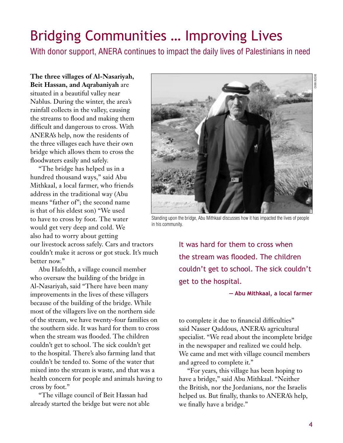## Bridging Communities … Improving Lives

With donor support, ANERA continues to impact the daily lives of Palestinians in need

**The three villages of Al-Nasariyah, Beit Hassan, and Aqrabaniyah** are situated in a beautiful valley near Nablus. During the winter, the area's rainfall collects in the valley, causing the streams to flood and making them difficult and dangerous to cross. With ANERA's help, now the residents of the three villages each have their own bridge which allows them to cross the floodwaters easily and safely.

"The bridge has helped us in a hundred thousand ways," said Abu Mithkaal, a local farmer, who friends address in the traditional way (Abu means "father of"; the second name is that of his eldest son) "We used to have to cross by foot. The water would get very deep and cold. We also had to worry about getting

our livestock across safely. Cars and tractors couldn't make it across or got stuck. It's much better now."

Abu Hafedth, a village council member who oversaw the building of the bridge in Al-Nasariyah, said "There have been many improvements in the lives of these villagers because of the building of the bridge. While most of the villagers live on the northern side of the stream, we have twenty-four families on the southern side. It was hard for them to cross when the stream was flooded. The children couldn't get to school. The sick couldn't get to the hospital. There's also farming land that couldn't be tended to. Some of the water that mixed into the stream is waste, and that was a health concern for people and animals having to cross by foot."

"The village council of Beit Hassan had already started the bridge but were not able



Standing upon the bridge, Abu Mithkaal discusses how it has impacted the lives of people in his community.

It was hard for them to cross when the stream was flooded. The children couldn't get to school. The sick couldn't get to the hospital.

#### **— Abu Mithkaal, a local farmer**

to complete it due to financial difficulties" said Nasser Qaddous, ANERA's agricultural specialist. "We read about the incomplete bridge in the newspaper and realized we could help. We came and met with village council members and agreed to complete it."

"For years, this village has been hoping to have a bridge," said Abu Mithkaal. "Neither the British, nor the Jordanians, nor the Israelis helped us. But finally, thanks to ANERA's help, we finally have a bridge."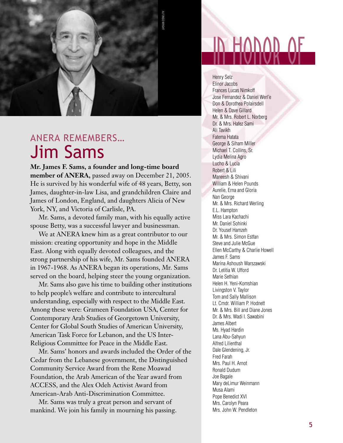

## ANERA REMEMBERS… Jim Sams

**Mr. James F. Sams, a founder and long-time board member of ANERA,** passed away on December 21, 2005. He is survived by his wonderful wife of 48 years, Betty, son James, daughter-in-law Lisa, and grandchildren Claire and James of London, England, and daughters Alicia of New York, NY, and Victoria of Carlisle, PA.

Mr. Sams, a devoted family man, with his equally active spouse Betty, was a successful lawyer and businessman.

We at ANERA knew him as a great contributor to our mission: creating opportunity and hope in the Middle East. Along with equally devoted colleagues, and the strong partnership of his wife, Mr. Sams founded ANERA in 1967-1968. As ANERA began its operations, Mr. Sams served on the board, helping steer the young organization.

Mr. Sams also gave his time to building other institutions to help people's welfare and contribute to intercultural understanding, especially with respect to the Middle East. Among these were: Grameen Foundation USA, Center for Contemporary Arab Studies of Georgetown University, Center for Global South Studies of American University, American Task Force for Lebanon, and the US Inter-Religious Committee for Peace in the Middle East.

Mr. Sams' honors and awards included the Order of the Cedar from the Lebanese government, the Distinguished Community Service Award from the Rene Moawad Foundation, the Arab American of the Year award from ACCESS, and the Alex Odeh Activist Award from American-Arab Anti-Discrimination Committee.

Mr. Sams was truly a great person and servant of

## in honor of

Henry Selz Elinor Jacobs Frances Lucas Nimkoff Jose Fernandez & Daniel Werl'e Don & Dorothea Polairsdell Helen & Dave Gillard Mr. & Mrs. Robert L. Norberg Dr. & Mrs. Hafez Sami Ali Tavikh Fatema Hatata George & Siham Miller Michael T. Collins, Sr. Lydia Melina Agro Lucho & Lucia Robert & Lili Maneesh & Shivani William & Helen Pounds Aurelie, Erna and Gloria Nan George Mr. & Mrs. Richard Werling E.L. Hampton Miss Lara Kachachi Mr. Daniel Sohinki Dr. Yousef Hamzeh Mr. & Mrs. Simon Estfan Steve and Julie McGue Ellen McCarthy & Charlie Howell James F. Sams Marina Ashoush Warszawski Dr. Letitia W. Ufford Marie Sethian Helen H. Yeni-Komshian Livingston V. Taylor Tom and Sally Mallison Lt. Cmdr. William P. Hodnett Mr. & Mrs. Bill and Diane Jones Dr. & Mrs. Wadi I. Sawabini James Albert Ms. Hyad Hardin Lana Abu-Sahyun Alfred Lilienthal Dale Glendening, Jr. Fred Farah Mrs. Paul H. Arnot Ronald Dudum Joe Bagale Mary deLimur Weinmann Musa Alami Pope Benedict XVI Mrs. Carolyn Peara Mrs. John W. Pendleton